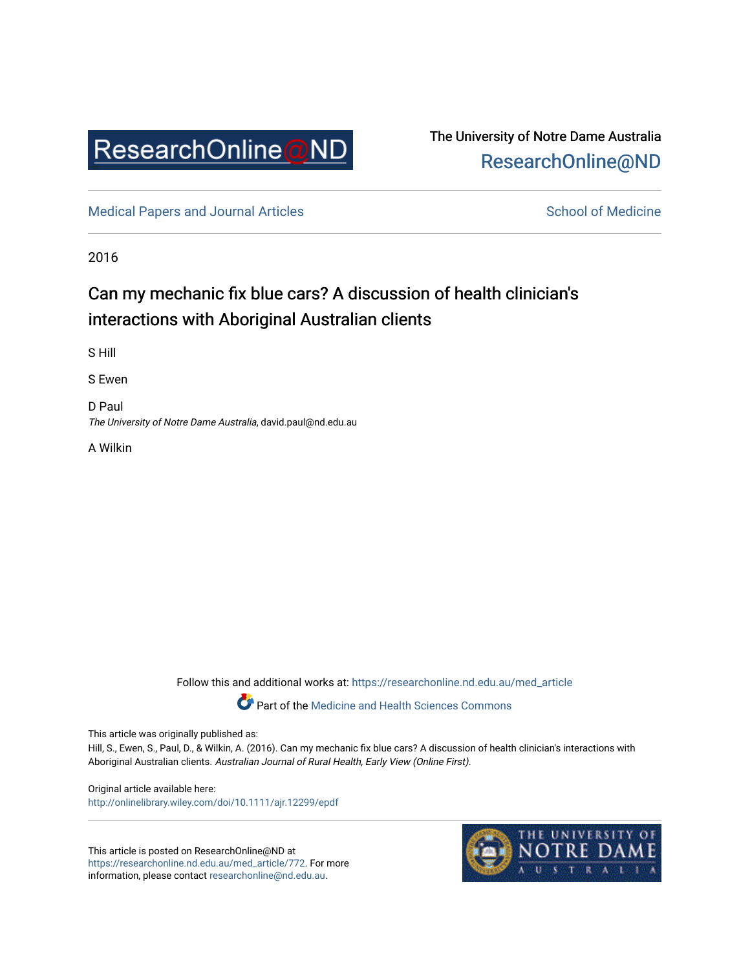

## The University of Notre Dame Australia [ResearchOnline@ND](https://researchonline.nd.edu.au/)

[Medical Papers and Journal Articles](https://researchonline.nd.edu.au/med_article) and School of Medicine

2016

# Can my mechanic fix blue cars? A discussion of health clinician's interactions with Aboriginal Australian clients

S Hill

S Ewen

D Paul The University of Notre Dame Australia, david.paul@nd.edu.au

A Wilkin

Follow this and additional works at: [https://researchonline.nd.edu.au/med\\_article](https://researchonline.nd.edu.au/med_article?utm_source=researchonline.nd.edu.au%2Fmed_article%2F772&utm_medium=PDF&utm_campaign=PDFCoverPages) 

Part of the [Medicine and Health Sciences Commons](http://network.bepress.com/hgg/discipline/648?utm_source=researchonline.nd.edu.au%2Fmed_article%2F772&utm_medium=PDF&utm_campaign=PDFCoverPages)

This article was originally published as:

Hill, S., Ewen, S., Paul, D., & Wilkin, A. (2016). Can my mechanic fix blue cars? A discussion of health clinician's interactions with Aboriginal Australian clients. Australian Journal of Rural Health, Early View (Online First).

Original article available here: <http://onlinelibrary.wiley.com/doi/10.1111/ajr.12299/epdf>

This article is posted on ResearchOnline@ND at [https://researchonline.nd.edu.au/med\\_article/772](https://researchonline.nd.edu.au/med_article/772). For more information, please contact [researchonline@nd.edu.au.](mailto:researchonline@nd.edu.au)

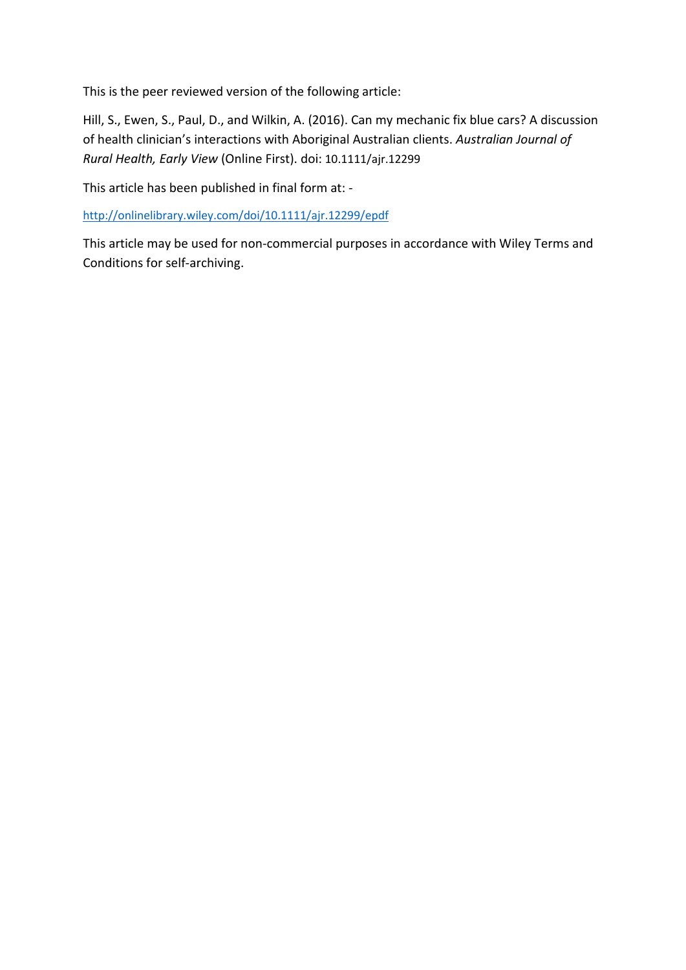This is the peer reviewed version of the following article:

Hill, S., Ewen, S., Paul, D., and Wilkin, A. (2016). Can my mechanic fix blue cars? A discussion of health clinician's interactions with Aboriginal Australian clients. *Australian Journal of Rural Health, Early View* (Online First). doi: 10.1111/ajr.12299

This article has been published in final form at: -

<http://onlinelibrary.wiley.com/doi/10.1111/ajr.12299/epdf>

This article may be used for non-commercial purposes in accordance with Wiley Terms and Conditions for self-archiving.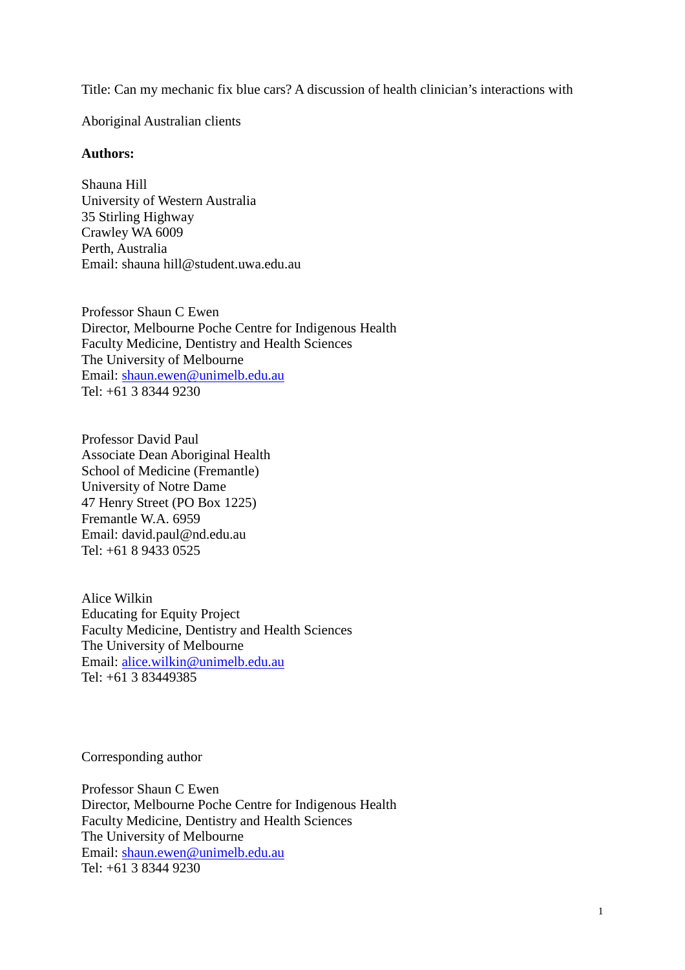Title: Can my mechanic fix blue cars? A discussion of health clinician's interactions with

Aboriginal Australian clients

#### **Authors:**

Shauna Hill University of Western Australia 35 Stirling Highway Crawley WA 6009 Perth, Australia Email: shauna hill@student.uwa.edu.au

Professor Shaun C Ewen Director, Melbourne Poche Centre for Indigenous Health Faculty Medicine, Dentistry and Health Sciences The University of Melbourne Email: [shaun.ewen@unimelb.edu.au](mailto:shaun.ewen@unimelb.edu.au) Tel: +61 3 8344 9230

Professor David Paul Associate Dean Aboriginal Health School of Medicine (Fremantle) University of Notre Dame 47 Henry Street (PO Box 1225) Fremantle W.A. 6959 Email: david.paul@nd.edu.au Tel: +61 8 9433 0525

Alice Wilkin Educating for Equity Project Faculty Medicine, Dentistry and Health Sciences The University of Melbourne Email: [alice.wilkin@unimelb.edu.au](mailto:alice.wilkin@unimelb.edu.au) Tel: +61 3 83449385

Corresponding author

Professor Shaun C Ewen Director, Melbourne Poche Centre for Indigenous Health Faculty Medicine, Dentistry and Health Sciences The University of Melbourne Email: [shaun.ewen@unimelb.edu.au](mailto:shaun.ewen@unimelb.edu.au) Tel: +61 3 8344 9230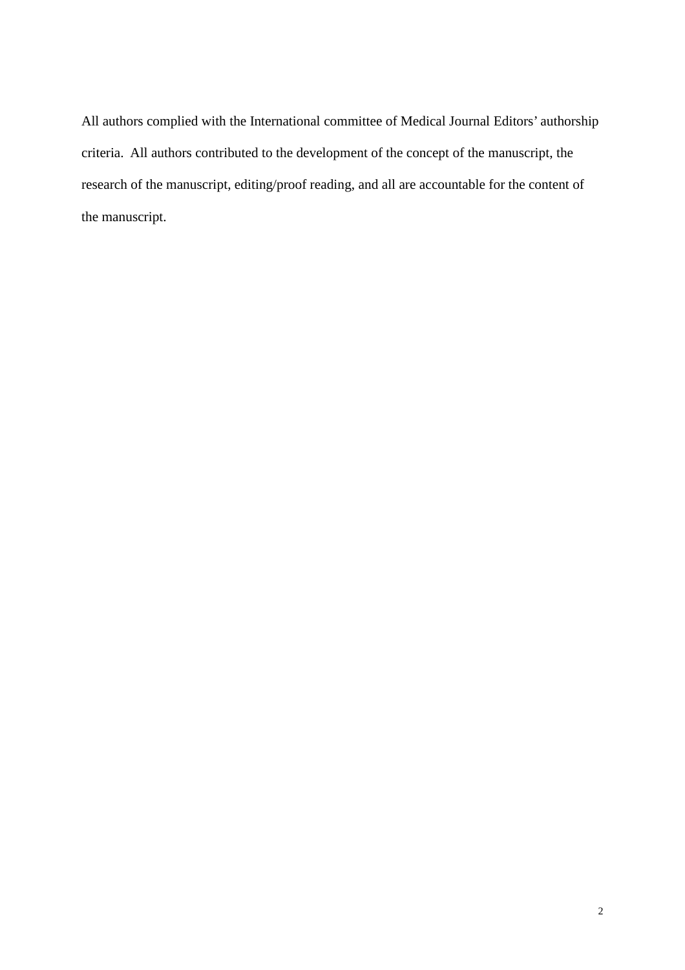All authors complied with the International committee of Medical Journal Editors' authorship criteria. All authors contributed to the development of the concept of the manuscript, the research of the manuscript, editing/proof reading, and all are accountable for the content of the manuscript.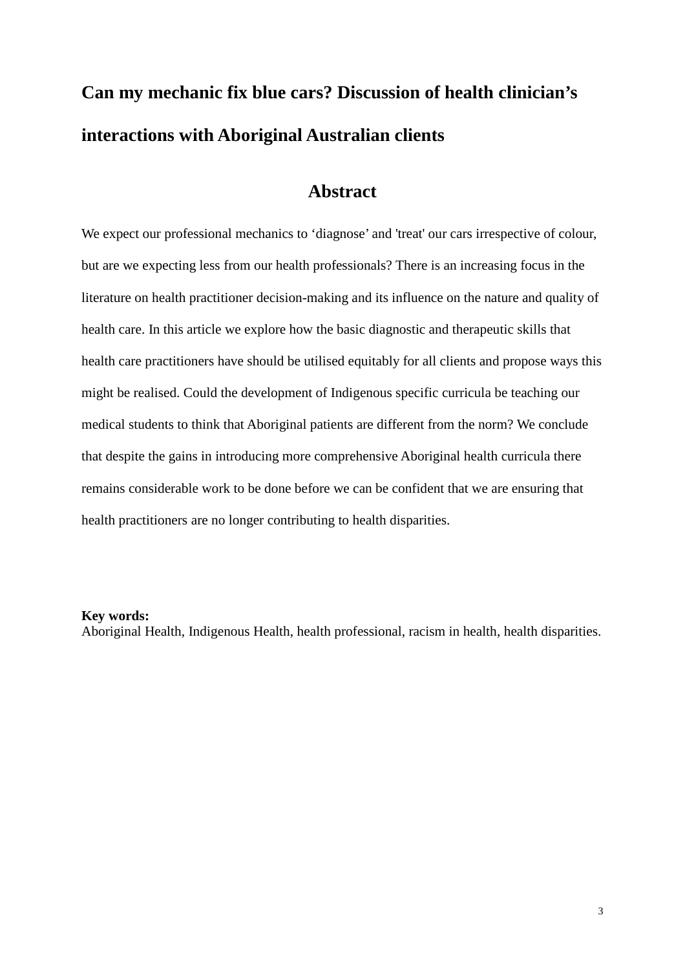# **Can my mechanic fix blue cars? Discussion of health clinician's interactions with Aboriginal Australian clients**

## **Abstract**

We expect our professional mechanics to 'diagnose' and 'treat' our cars irrespective of colour, but are we expecting less from our health professionals? There is an increasing focus in the literature on health practitioner decision-making and its influence on the nature and quality of health care. In this article we explore how the basic diagnostic and therapeutic skills that health care practitioners have should be utilised equitably for all clients and propose ways this might be realised. Could the development of Indigenous specific curricula be teaching our medical students to think that Aboriginal patients are different from the norm? We conclude that despite the gains in introducing more comprehensive Aboriginal health curricula there remains considerable work to be done before we can be confident that we are ensuring that health practitioners are no longer contributing to health disparities.

#### **Key words:**

Aboriginal Health, Indigenous Health, health professional, racism in health, health disparities.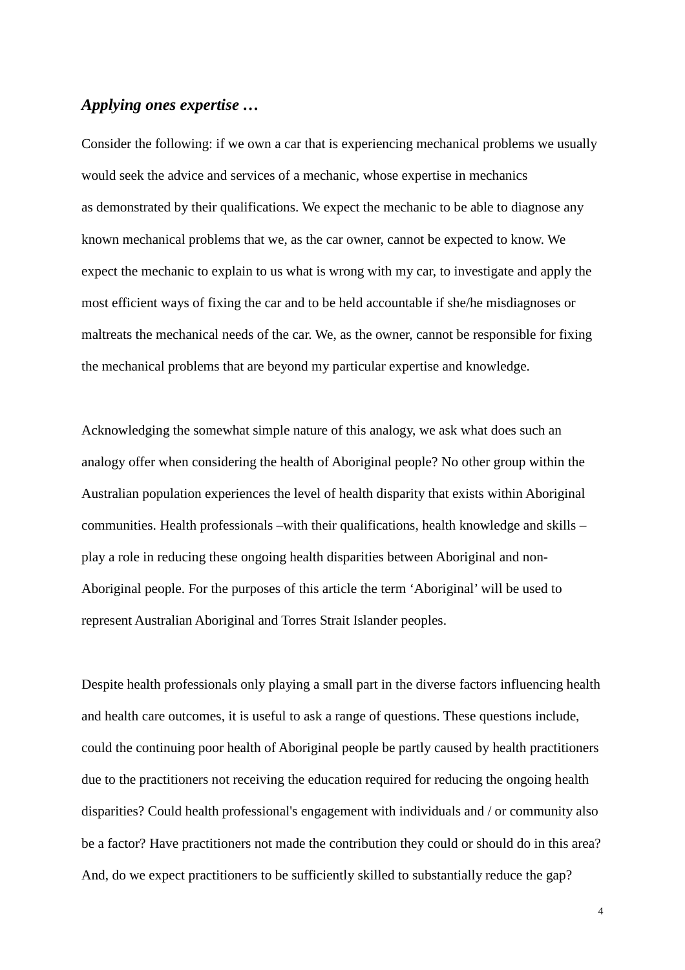#### *Applying ones expertise …*

Consider the following: if we own a car that is experiencing mechanical problems we usually would seek the advice and services of a mechanic, whose expertise in mechanics as demonstrated by their qualifications. We expect the mechanic to be able to diagnose any known mechanical problems that we, as the car owner, cannot be expected to know. We expect the mechanic to explain to us what is wrong with my car, to investigate and apply the most efficient ways of fixing the car and to be held accountable if she/he misdiagnoses or maltreats the mechanical needs of the car. We, as the owner, cannot be responsible for fixing the mechanical problems that are beyond my particular expertise and knowledge.

Acknowledging the somewhat simple nature of this analogy, we ask what does such an analogy offer when considering the health of Aboriginal people? No other group within the Australian population experiences the level of health disparity that exists within Aboriginal communities. Health professionals –with their qualifications, health knowledge and skills – play a role in reducing these ongoing health disparities between Aboriginal and non-Aboriginal people. For the purposes of this article the term 'Aboriginal' will be used to represent Australian Aboriginal and Torres Strait Islander peoples.

Despite health professionals only playing a small part in the diverse factors influencing health and health care outcomes, it is useful to ask a range of questions. These questions include, could the continuing poor health of Aboriginal people be partly caused by health practitioners due to the practitioners not receiving the education required for reducing the ongoing health disparities? Could health professional's engagement with individuals and / or community also be a factor? Have practitioners not made the contribution they could or should do in this area? And, do we expect practitioners to be sufficiently skilled to substantially reduce the gap?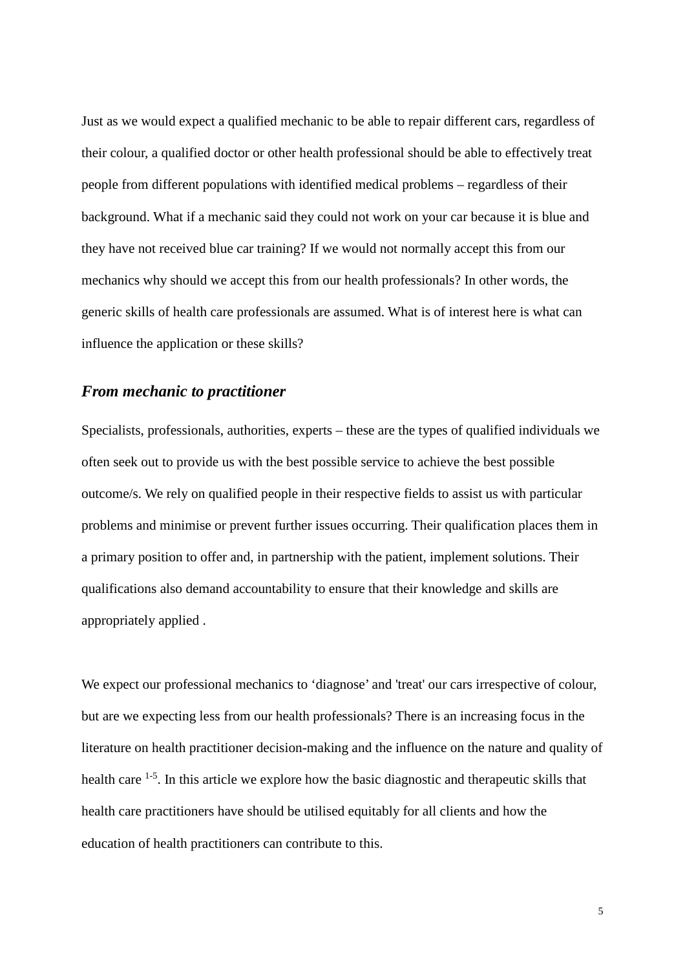Just as we would expect a qualified mechanic to be able to repair different cars, regardless of their colour, a qualified doctor or other health professional should be able to effectively treat people from different populations with identified medical problems – regardless of their background. What if a mechanic said they could not work on your car because it is blue and they have not received blue car training? If we would not normally accept this from our mechanics why should we accept this from our health professionals? In other words, the generic skills of health care professionals are assumed. What is of interest here is what can influence the application or these skills?

### *From mechanic to practitioner*

Specialists, professionals, authorities, experts – these are the types of qualified individuals we often seek out to provide us with the best possible service to achieve the best possible outcome/s. We rely on qualified people in their respective fields to assist us with particular problems and minimise or prevent further issues occurring. Their qualification places them in a primary position to offer and, in partnership with the patient, implement solutions. Their qualifications also demand accountability to ensure that their knowledge and skills are appropriately applied .

We expect our professional mechanics to 'diagnose' and 'treat' our cars irrespective of colour, but are we expecting less from our health professionals? There is an increasing focus in the literature on health practitioner decision-making and the influence on the nature and quality of health care <sup>1-5</sup>. In this article we explore how the basic diagnostic and therapeutic skills that health care practitioners have should be utilised equitably for all clients and how the education of health practitioners can contribute to this.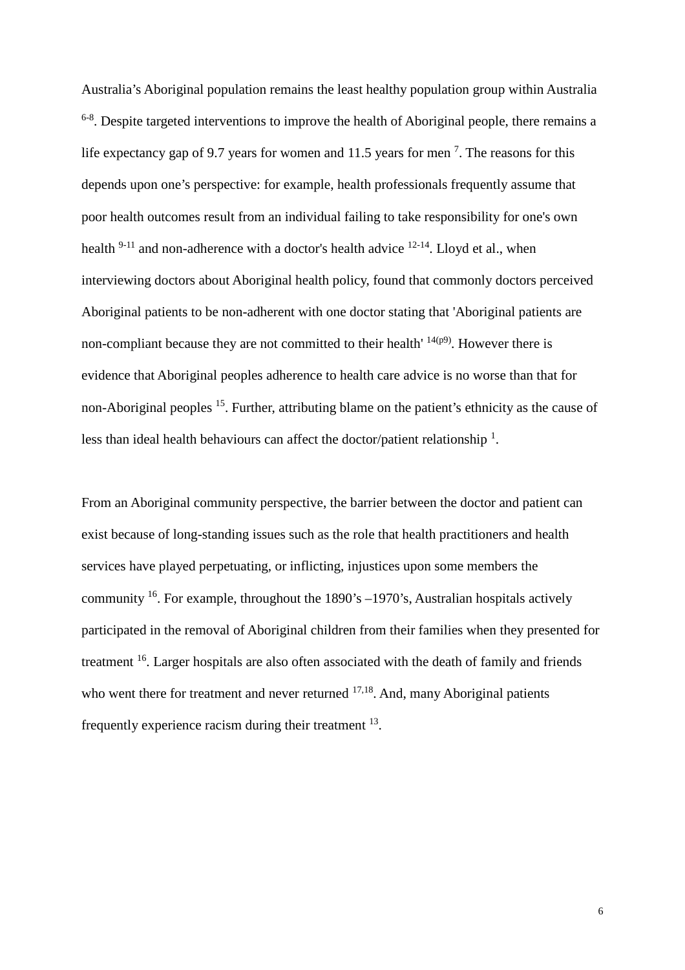Australia's Aboriginal population remains the least healthy population group within Australia  $6-8$ . Despite targeted interventions to improve the health of Aboriginal people, there remains a life expectancy gap of 9.7 years for women and 11.5 years for men<sup>7</sup>. The reasons for this depends upon one's perspective: for example, health professionals frequently assume that poor health outcomes result from an individual failing to take responsibility for one's own health  $9-11$  and non-adherence with a doctor's health advice  $12-14$ . Lloyd et al., when interviewing doctors about Aboriginal health policy, found that commonly doctors perceived Aboriginal patients to be non-adherent with one doctor stating that 'Aboriginal patients are non-compliant because they are not committed to their health'  $14(p9)$ . However there is evidence that Aboriginal peoples adherence to health care advice is no worse than that for non-Aboriginal peoples 15. Further, attributing blame on the patient's ethnicity as the cause of less than ideal health behaviours can affect the doctor/patient relationship  $\frac{1}{1}$ .

From an Aboriginal community perspective, the barrier between the doctor and patient can exist because of long-standing issues such as the role that health practitioners and health services have played perpetuating, or inflicting, injustices upon some members the community  $16$ . For example, throughout the 1890's -1970's, Australian hospitals actively participated in the removal of Aboriginal children from their families when they presented for treatment 16. Larger hospitals are also often associated with the death of family and friends who went there for treatment and never returned  $17,18$ . And, many Aboriginal patients frequently experience racism during their treatment 13.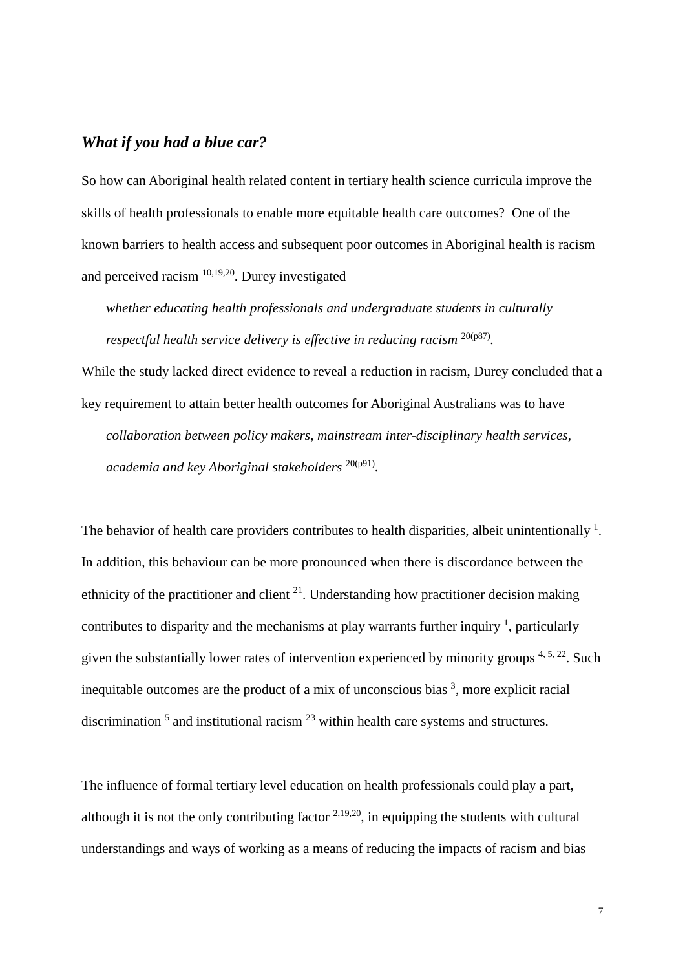#### *What if you had a blue car?*

So how can Aboriginal health related content in tertiary health science curricula improve the skills of health professionals to enable more equitable health care outcomes? One of the known barriers to health access and subsequent poor outcomes in Aboriginal health is racism and perceived racism 10,19,20. Durey investigated

*whether educating health professionals and undergraduate students in culturally respectful health service delivery is effective in reducing racism*  $^{20(p87)}$ *.* 

While the study lacked direct evidence to reveal a reduction in racism, Durey concluded that a key requirement to attain better health outcomes for Aboriginal Australians was to have *collaboration between policy makers, mainstream inter-disciplinary health services, academia and key Aboriginal stakeholders* 20(p91).

The behavior of health care providers contributes to health disparities, albeit unintentionally  $1$ . In addition, this behaviour can be more pronounced when there is discordance between the ethnicity of the practitioner and client  $2<sup>1</sup>$ . Understanding how practitioner decision making contributes to disparity and the mechanisms at play warrants further inquiry  $\frac{1}{1}$ , particularly given the substantially lower rates of intervention experienced by minority groups  $4, 5, 22$ . Such inequitable outcomes are the product of a mix of unconscious bias  $3$ , more explicit racial discrimination  $5$  and institutional racism  $23$  within health care systems and structures.

The influence of formal tertiary level education on health professionals could play a part, although it is not the only contributing factor  $2,19,20$ , in equipping the students with cultural understandings and ways of working as a means of reducing the impacts of racism and bias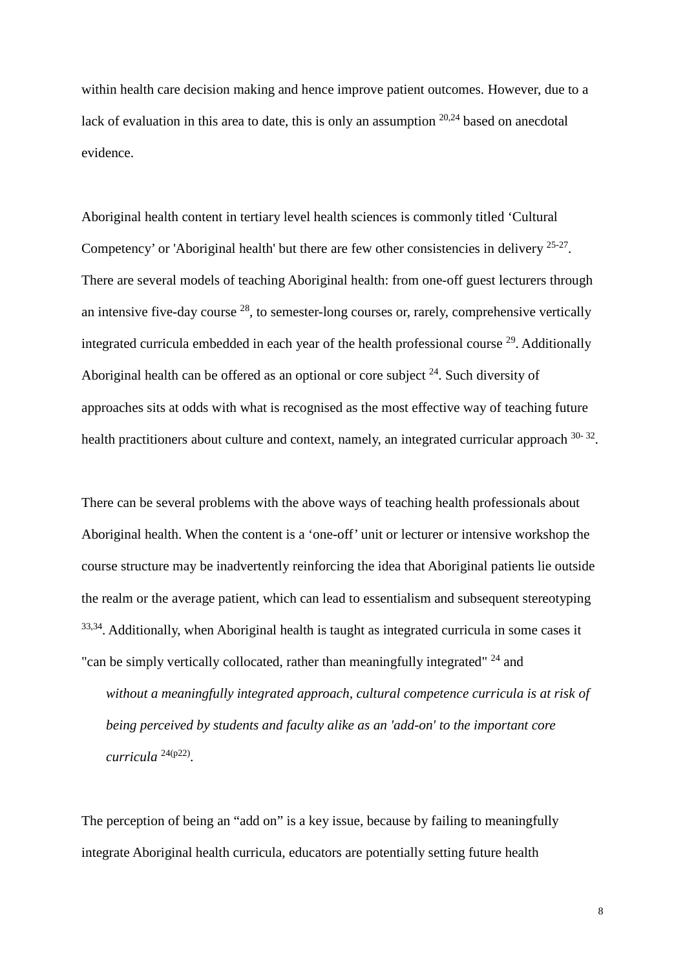within health care decision making and hence improve patient outcomes. However, due to a lack of evaluation in this area to date, this is only an assumption  $20.24$  based on anecdotal evidence.

Aboriginal health content in tertiary level health sciences is commonly titled 'Cultural Competency' or 'Aboriginal health' but there are few other consistencies in delivery  $25-27$ . There are several models of teaching Aboriginal health: from one-off guest lecturers through an intensive five-day course  $28$ , to semester-long courses or, rarely, comprehensive vertically integrated curricula embedded in each year of the health professional course <sup>29</sup>. Additionally Aboriginal health can be offered as an optional or core subject  $24$ . Such diversity of approaches sits at odds with what is recognised as the most effective way of teaching future health practitioners about culture and context, namely, an integrated curricular approach  $30-32$ .

There can be several problems with the above ways of teaching health professionals about Aboriginal health. When the content is a 'one-off' unit or lecturer or intensive workshop the course structure may be inadvertently reinforcing the idea that Aboriginal patients lie outside the realm or the average patient, which can lead to essentialism and subsequent stereotyping <sup>33,34</sup>. Additionally, when Aboriginal health is taught as integrated curricula in some cases it "can be simply vertically collocated, rather than meaningfully integrated" <sup>24</sup> and

*without a meaningfully integrated approach, cultural competence curricula is at risk of being perceived by students and faculty alike as an 'add-on' to the important core curricula* 24(p22) .

The perception of being an "add on" is a key issue, because by failing to meaningfully integrate Aboriginal health curricula, educators are potentially setting future health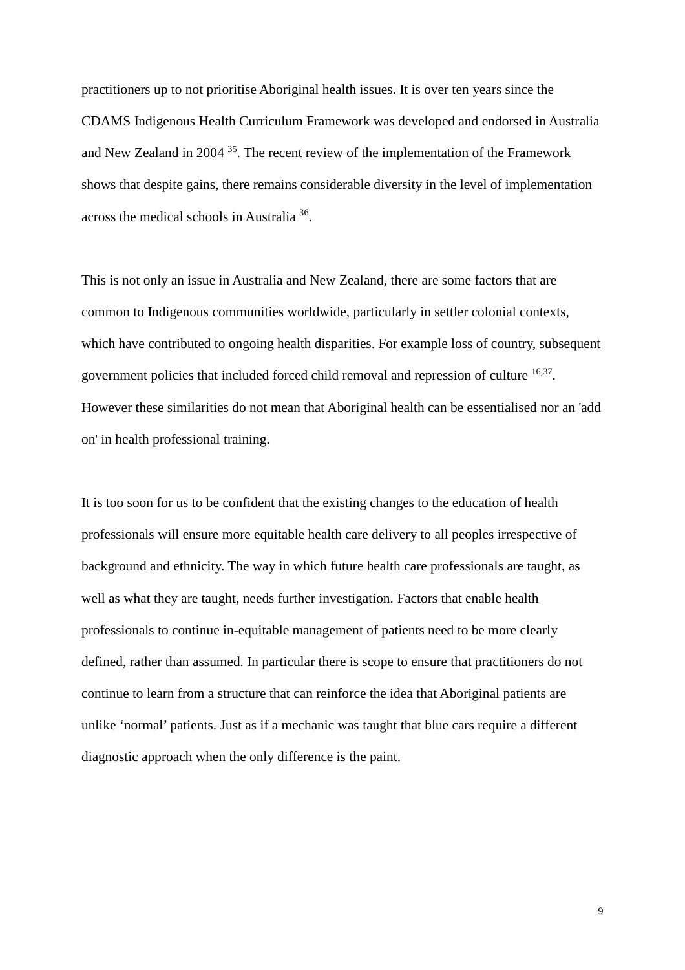practitioners up to not prioritise Aboriginal health issues. It is over ten years since the CDAMS Indigenous Health Curriculum Framework was developed and endorsed in Australia and New Zealand in 2004 35. The recent review of the implementation of the Framework shows that despite gains, there remains considerable diversity in the level of implementation across the medical schools in Australia 36.

This is not only an issue in Australia and New Zealand, there are some factors that are common to Indigenous communities worldwide, particularly in settler colonial contexts, which have contributed to ongoing health disparities. For example loss of country, subsequent government policies that included forced child removal and repression of culture <sup>16,37</sup>. However these similarities do not mean that Aboriginal health can be essentialised nor an 'add on' in health professional training.

It is too soon for us to be confident that the existing changes to the education of health professionals will ensure more equitable health care delivery to all peoples irrespective of background and ethnicity. The way in which future health care professionals are taught, as well as what they are taught, needs further investigation. Factors that enable health professionals to continue in-equitable management of patients need to be more clearly defined, rather than assumed. In particular there is scope to ensure that practitioners do not continue to learn from a structure that can reinforce the idea that Aboriginal patients are unlike 'normal' patients. Just as if a mechanic was taught that blue cars require a different diagnostic approach when the only difference is the paint.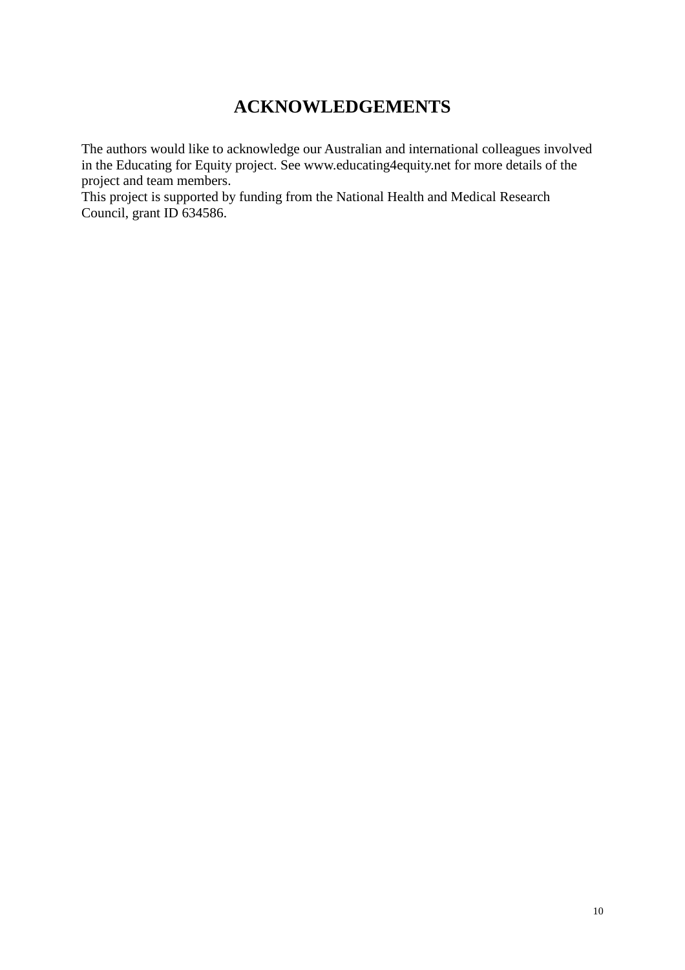# **ACKNOWLEDGEMENTS**

The authors would like to acknowledge our Australian and international colleagues involved in the Educating for Equity project. See www.educating4equity.net for more details of the project and team members.

This project is supported by funding from the National Health and Medical Research Council, grant ID 634586.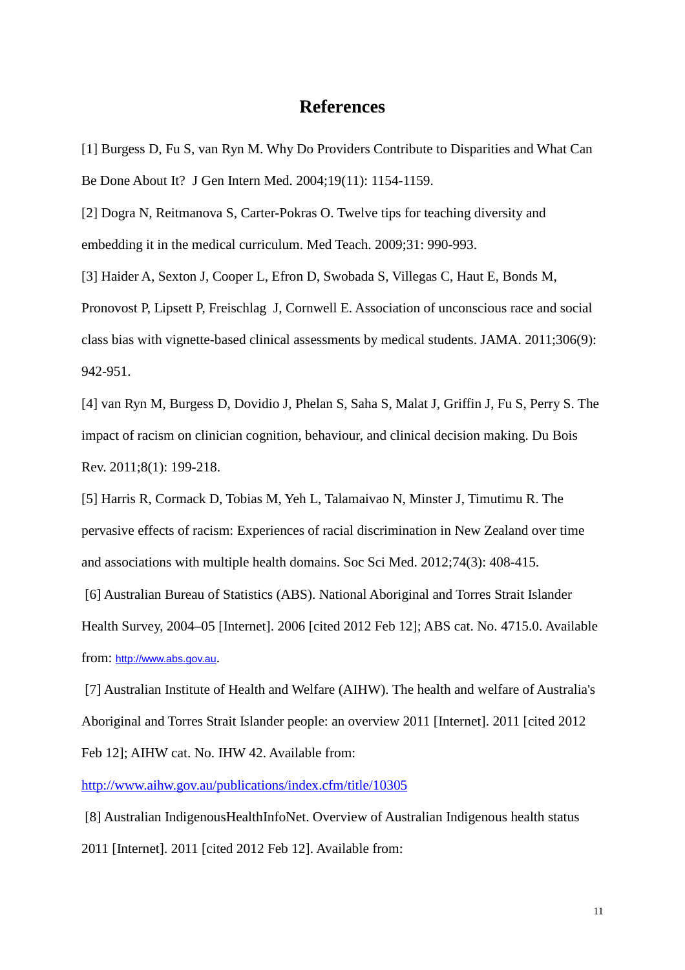## **References**

[1] Burgess D, Fu S, van Ryn M. Why Do Providers Contribute to Disparities and What Can Be Done About It? J Gen Intern Med. 2004;19(11): 1154-1159.

[2] Dogra N, Reitmanova S, Carter-Pokras O. Twelve tips for teaching diversity and embedding it in the medical curriculum. Med Teach. 2009;31: 990-993.

[3] Haider A, Sexton J, Cooper L, Efron D, Swobada S, Villegas C, Haut E, Bonds M, Pronovost P, Lipsett P, Freischlag J, Cornwell E. Association of unconscious race and social class bias with vignette-based clinical assessments by medical students. JAMA. 2011;306(9): 942-951.

[4] van Ryn M, Burgess D, Dovidio J, Phelan S, Saha S, Malat J, Griffin J, Fu S, Perry S. The impact of racism on clinician cognition, behaviour, and clinical decision making. Du Bois Rev. 2011;8(1): 199-218.

[5] Harris R, Cormack D, Tobias M, Yeh L, Talamaivao N, Minster J, Timutimu R. The pervasive effects of racism: Experiences of racial discrimination in New Zealand over time and associations with multiple health domains. Soc Sci Med. 2012;74(3): 408-415.

[6] Australian Bureau of Statistics (ABS). National Aboriginal and Torres Strait Islander Health Survey, 2004–05 [Internet]. 2006 [cited 2012 Feb 12]; ABS cat. No. 4715.0. Available from: [http://www.abs.gov.au](http://www.abs.gov.au/).

[7] Australian Institute of Health and Welfare (AIHW). The health and welfare of Australia's Aboriginal and Torres Strait Islander people: an overview 2011 [Internet]. 2011 [cited 2012 Feb 12]; AIHW cat. No. IHW 42. Available from:

<http://www.aihw.gov.au/publications/index.cfm/title/10305>

[8] Australian IndigenousHealthInfoNet. Overview of Australian Indigenous health status 2011 [Internet]. 2011 [cited 2012 Feb 12]. Available from: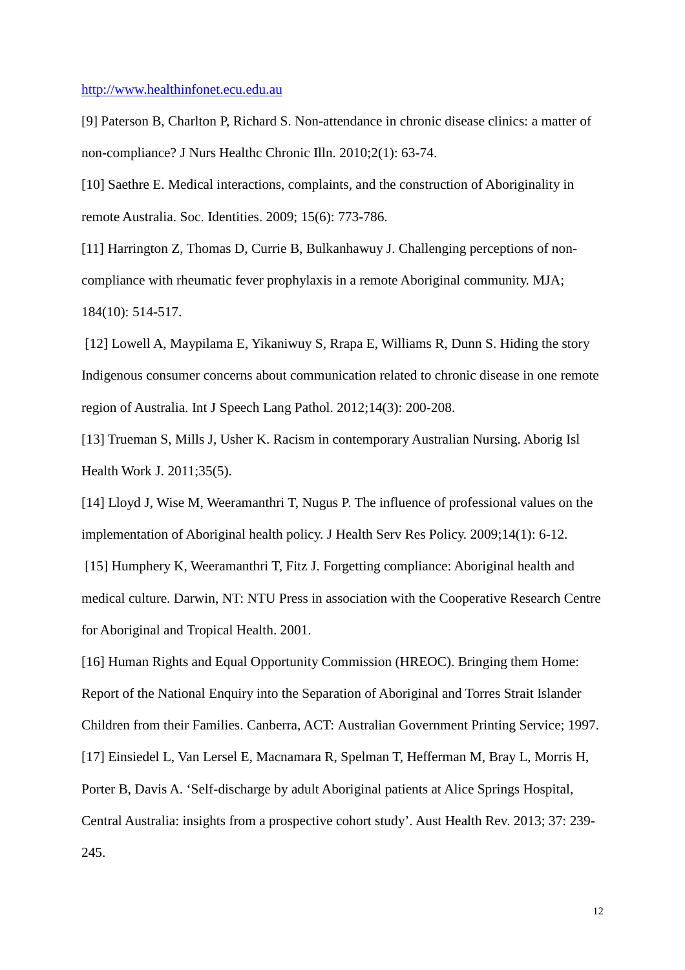#### [http://www.healthinfonet.ecu.edu.au](http://www.healthinfonet.ecu.edu.au/)

[9] Paterson B, Charlton P, Richard S. Non-attendance in chronic disease clinics: a matter of non-compliance? J Nurs Healthc Chronic Illn. 2010;2(1): 63-74.

[10] Saethre E. Medical interactions, complaints, and the construction of Aboriginality in remote Australia. Soc. Identities. 2009; 15(6): 773-786.

[11] Harrington Z, Thomas D, Currie B, Bulkanhawuy J. Challenging perceptions of noncompliance with rheumatic fever prophylaxis in a remote Aboriginal community. MJA; 184(10): 514-517.

[12] Lowell A, Maypilama E, Yikaniwuy S, Rrapa E, Williams R, Dunn S. Hiding the story Indigenous consumer concerns about communication related to chronic disease in one remote region of Australia. Int J Speech Lang Pathol. 2012;14(3): 200-208.

[13] Trueman S, Mills J, Usher K. Racism in contemporary Australian Nursing. Aborig Isl Health Work J. 2011;35(5).

[14] Lloyd J, Wise M, Weeramanthri T, Nugus P. The influence of professional values on the implementation of Aboriginal health policy. J Health Serv Res Policy. 2009;14(1): 6-12.

[15] Humphery K, Weeramanthri T, Fitz J. Forgetting compliance: Aboriginal health and medical culture. Darwin, NT: NTU Press in association with the Cooperative Research Centre for Aboriginal and Tropical Health. 2001.

[16] Human Rights and Equal Opportunity Commission (HREOC). Bringing them Home: Report of the National Enquiry into the Separation of Aboriginal and Torres Strait Islander Children from their Families. Canberra, ACT: Australian Government Printing Service; 1997. [17] Einsiedel L, Van Lersel E, Macnamara R, Spelman T, Hefferman M, Bray L, Morris H, Porter B, Davis A. 'Self-discharge by adult Aboriginal patients at Alice Springs Hospital, Central Australia: insights from a prospective cohort study'. Aust Health Rev. 2013; 37: 239- 245.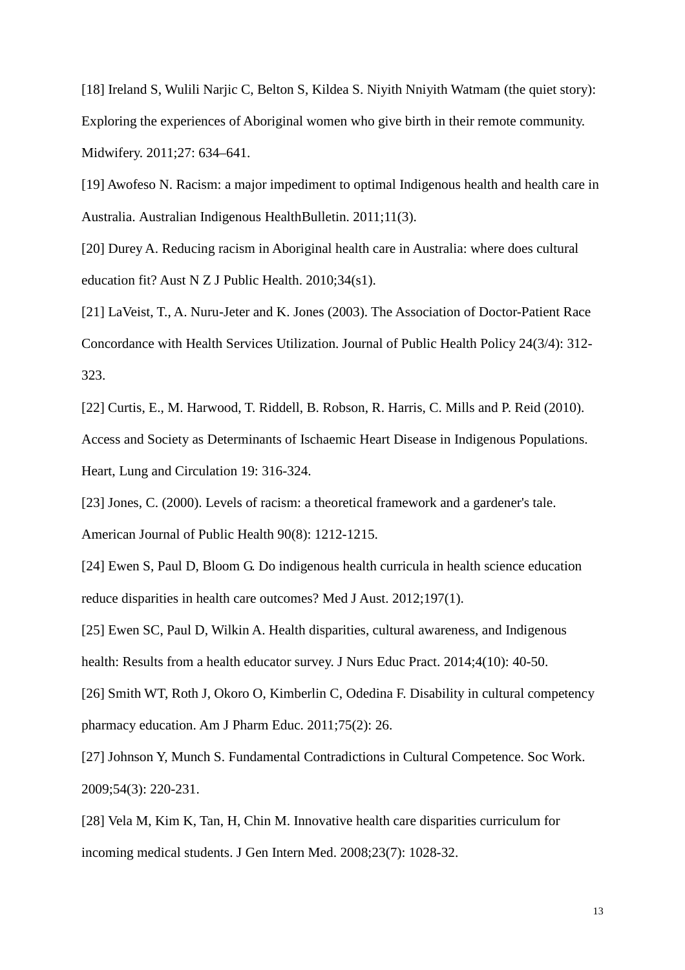[18] Ireland S, Wulili Narjic C, Belton S, Kildea S. Niyith Nniyith Watmam (the quiet story): Exploring the experiences of Aboriginal women who give birth in their remote community. Midwifery. 2011;27: 634–641.

[19] Awofeso N. Racism: a major impediment to optimal Indigenous health and health care in Australia. Australian Indigenous HealthBulletin. 2011;11(3).

[20] Durey A. Reducing racism in Aboriginal health care in Australia: where does cultural education fit? Aust N Z J Public Health. 2010;34(s1).

[21] LaVeist, T., A. Nuru-Jeter and K. Jones (2003). The Association of Doctor-Patient Race Concordance with Health Services Utilization. Journal of Public Health Policy 24(3/4): 312- 323.

[22] Curtis, E., M. Harwood, T. Riddell, B. Robson, R. Harris, C. Mills and P. Reid (2010). Access and Society as Determinants of Ischaemic Heart Disease in Indigenous Populations. Heart, Lung and Circulation 19: 316-324.

[23] Jones, C. (2000). Levels of racism: a theoretical framework and a gardener's tale. American Journal of Public Health 90(8): 1212-1215.

[24] Ewen S, Paul D, Bloom G. Do indigenous health curricula in health science education reduce disparities in health care outcomes? Med J Aust. 2012;197(1).

[25] Ewen SC, Paul D, Wilkin A. Health disparities, cultural awareness, and Indigenous health: Results from a health educator survey. J Nurs Educ Pract. 2014;4(10): 40-50.

[26] Smith WT, Roth J, Okoro O, Kimberlin C, Odedina F. Disability in cultural competency pharmacy education. Am J Pharm Educ. 2011;75(2): 26.

[27] Johnson Y, Munch S. Fundamental Contradictions in Cultural Competence. Soc Work. 2009;54(3): 220-231.

[28] Vela M, Kim K, Tan, H, Chin M. Innovative health care disparities curriculum for incoming medical students. J Gen Intern Med. 2008;23(7): 1028-32.